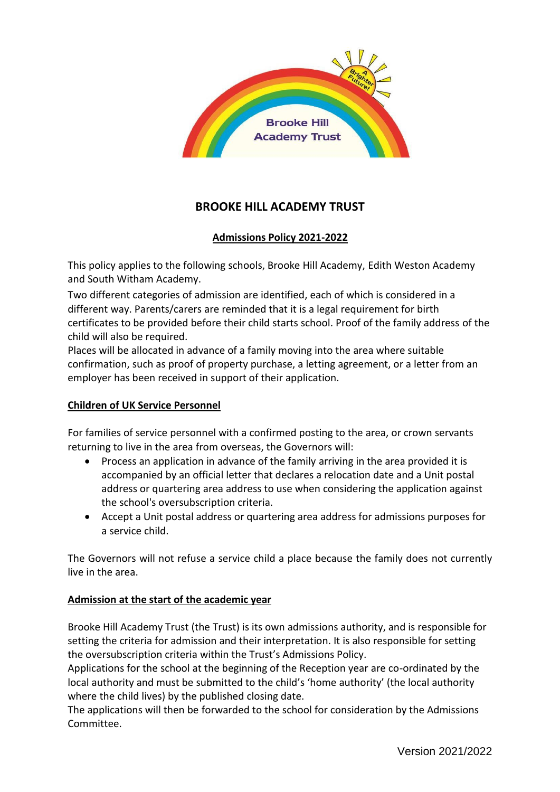

# **BROOKE HILL ACADEMY TRUST**

# **Admissions Policy 2021-2022**

This policy applies to the following schools, Brooke Hill Academy, Edith Weston Academy and South Witham Academy.

Two different categories of admission are identified, each of which is considered in a different way. Parents/carers are reminded that it is a legal requirement for birth certificates to be provided before their child starts school. Proof of the family address of the child will also be required.

Places will be allocated in advance of a family moving into the area where suitable confirmation, such as proof of property purchase, a letting agreement, or a letter from an employer has been received in support of their application.

### **Children of UK Service Personnel**

For families of service personnel with a confirmed posting to the area, or crown servants returning to live in the area from overseas, the Governors will:

- Process an application in advance of the family arriving in the area provided it is accompanied by an official letter that declares a relocation date and a Unit postal address or quartering area address to use when considering the application against the school's oversubscription criteria.
- Accept a Unit postal address or quartering area address for admissions purposes for a service child.

The Governors will not refuse a service child a place because the family does not currently live in the area.

### **Admission at the start of the academic year**

Brooke Hill Academy Trust (the Trust) is its own admissions authority, and is responsible for setting the criteria for admission and their interpretation. It is also responsible for setting the oversubscription criteria within the Trust's Admissions Policy.

Applications for the school at the beginning of the Reception year are co-ordinated by the local authority and must be submitted to the child's 'home authority' (the local authority where the child lives) by the published closing date.

The applications will then be forwarded to the school for consideration by the Admissions Committee.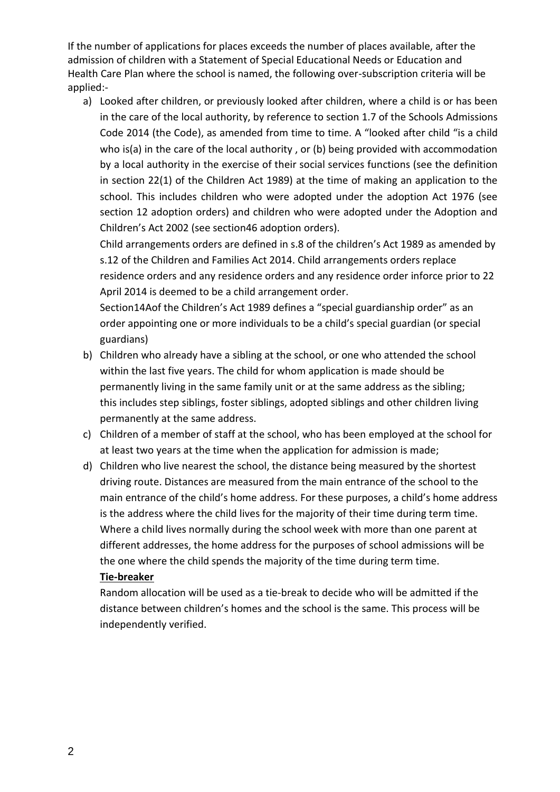If the number of applications for places exceeds the number of places available, after the admission of children with a Statement of Special Educational Needs or Education and Health Care Plan where the school is named, the following over-subscription criteria will be applied:-

a) Looked after children, or previously looked after children, where a child is or has been in the care of the local authority, by reference to section 1.7 of the Schools Admissions Code 2014 (the Code), as amended from time to time. A "looked after child "is a child who is(a) in the care of the local authority, or (b) being provided with accommodation by a local authority in the exercise of their social services functions (see the definition in section 22(1) of the Children Act 1989) at the time of making an application to the school. This includes children who were adopted under the adoption Act 1976 (see section 12 adoption orders) and children who were adopted under the Adoption and Children's Act 2002 (see section46 adoption orders).

Child arrangements orders are defined in s.8 of the children's Act 1989 as amended by s.12 of the Children and Families Act 2014. Child arrangements orders replace residence orders and any residence orders and any residence order inforce prior to 22

April 2014 is deemed to be a child arrangement order.

Section14Aof the Children's Act 1989 defines a "special guardianship order" as an order appointing one or more individuals to be a child's special guardian (or special guardians)

- b) Children who already have a sibling at the school, or one who attended the school within the last five years. The child for whom application is made should be permanently living in the same family unit or at the same address as the sibling; this includes step siblings, foster siblings, adopted siblings and other children living permanently at the same address.
- c) Children of a member of staff at the school, who has been employed at the school for at least two years at the time when the application for admission is made;
- d) Children who live nearest the school, the distance being measured by the shortest driving route. Distances are measured from the main entrance of the school to the main entrance of the child's home address. For these purposes, a child's home address is the address where the child lives for the majority of their time during term time. Where a child lives normally during the school week with more than one parent at different addresses, the home address for the purposes of school admissions will be the one where the child spends the majority of the time during term time.

### **Tie-breaker**

Random allocation will be used as a tie-break to decide who will be admitted if the distance between children's homes and the school is the same. This process will be independently verified.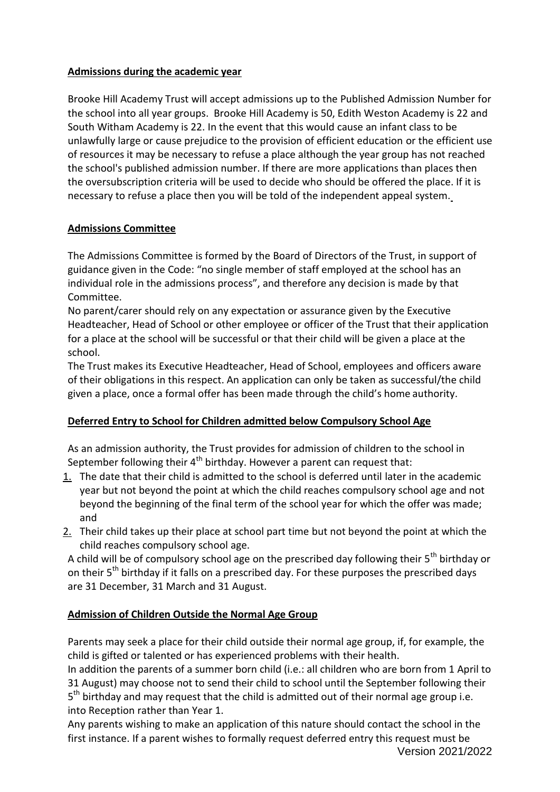### **Admissions during the academic year**

Brooke Hill Academy Trust will accept admissions up to the Published Admission Number for the school into all year groups. Brooke Hill Academy is 50, Edith Weston Academy is 22 and South Witham Academy is 22. In the event that this would cause an infant class to be unlawfully large or cause prejudice to the provision of efficient education or the efficient use of resources it may be necessary to refuse a place although the year group has not reached the school's published admission number. If there are more applications than places then the oversubscription criteria will be used to decide who should be offered the place. If it is necessary to refuse a place then you will be told of the independent appeal system.

### **Admissions Committee**

The Admissions Committee is formed by the Board of Directors of the Trust, in support of guidance given in the Code: "no single member of staff employed at the school has an individual role in the admissions process", and therefore any decision is made by that Committee.

No parent/carer should rely on any expectation or assurance given by the Executive Headteacher, Head of School or other employee or officer of the Trust that their application for a place at the school will be successful or that their child will be given a place at the school.

The Trust makes its Executive Headteacher, Head of School, employees and officers aware of their obligations in this respect. An application can only be taken as successful/the child given a place, once a formal offer has been made through the child's home authority.

# **Deferred Entry to School for Children admitted below Compulsory School Age**

As an admission authority, the Trust provides for admission of children to the school in September following their  $4<sup>th</sup>$  birthday. However a parent can request that:

- $1.$  The date that their child is admitted to the school is deferred until later in the academic year but not beyond the point at which the child reaches compulsory school age and not beyond the beginning of the final term of the school year for which the offer was made; and
- $2.$  Their child takes up their place at school part time but not beyond the point at which the child reaches compulsory school age.

A child will be of compulsory school age on the prescribed day following their  $5<sup>th</sup>$  birthday or on their 5<sup>th</sup> birthday if it falls on a prescribed day. For these purposes the prescribed days are 31 December, 31 March and 31 August.

# **Admission of Children Outside the Normal Age Group**

Parents may seek a place for their child outside their normal age group, if, for example, the child is gifted or talented or has experienced problems with their health.

In addition the parents of a summer born child (i.e.: all children who are born from 1 April to 31 August) may choose not to send their child to school until the September following their 5<sup>th</sup> birthday and may request that the child is admitted out of their normal age group i.e. into Reception rather than Year 1.

Version 2021/2022 Any parents wishing to make an application of this nature should contact the school in the first instance. If a parent wishes to formally request deferred entry this request must be